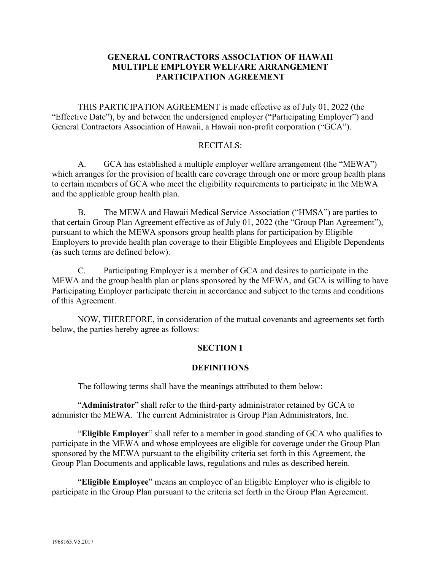## **GENERAL CONTRACTORS ASSOCIATION OF HAWAII MULTIPLE EMPLOYER WELFARE ARRANGEMENT PARTICIPATION AGREEMENT**

THIS PARTICIPATION AGREEMENT is made effective as of July 01, 2022 (the "Effective Date"), by and between the undersigned employer ("Participating Employer") and General Contractors Association of Hawaii, a Hawaii non-profit corporation ("GCA").

### RECITALS:

A. GCA has established a multiple employer welfare arrangement (the "MEWA") which arranges for the provision of health care coverage through one or more group health plans to certain members of GCA who meet the eligibility requirements to participate in the MEWA and the applicable group health plan.

B. The MEWA and Hawaii Medical Service Association ("HMSA") are parties to that certain Group Plan Agreement effective as of July 01, 2022 (the "Group Plan Agreement"), pursuant to which the MEWA sponsors group health plans for participation by Eligible Employers to provide health plan coverage to their Eligible Employees and Eligible Dependents (as such terms are defined below).

C. Participating Employer is a member of GCA and desires to participate in the MEWA and the group health plan or plans sponsored by the MEWA, and GCA is willing to have Participating Employer participate therein in accordance and subject to the terms and conditions of this Agreement.

NOW, THEREFORE, in consideration of the mutual covenants and agreements set forth below, the parties hereby agree as follows:

### **SECTION 1**

#### **DEFINITIONS**

The following terms shall have the meanings attributed to them below:

"**Administrator**" shall refer to the third-party administrator retained by GCA to administer the MEWA. The current Administrator is Group Plan Administrators, Inc.

"**Eligible Employer**" shall refer to a member in good standing of GCA who qualifies to participate in the MEWA and whose employees are eligible for coverage under the Group Plan sponsored by the MEWA pursuant to the eligibility criteria set forth in this Agreement, the Group Plan Documents and applicable laws, regulations and rules as described herein.

"**Eligible Employee**" means an employee of an Eligible Employer who is eligible to participate in the Group Plan pursuant to the criteria set forth in the Group Plan Agreement.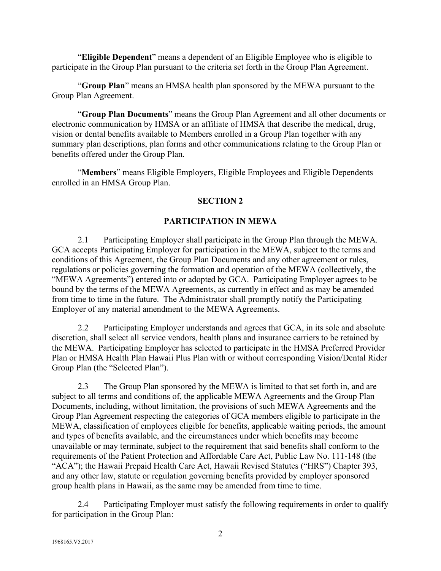"**Eligible Dependent**" means a dependent of an Eligible Employee who is eligible to participate in the Group Plan pursuant to the criteria set forth in the Group Plan Agreement.

"**Group Plan**" means an HMSA health plan sponsored by the MEWA pursuant to the Group Plan Agreement.

"**Group Plan Documents**" means the Group Plan Agreement and all other documents or electronic communication by HMSA or an affiliate of HMSA that describe the medical, drug, vision or dental benefits available to Members enrolled in a Group Plan together with any summary plan descriptions, plan forms and other communications relating to the Group Plan or benefits offered under the Group Plan.

"**Members**" means Eligible Employers, Eligible Employees and Eligible Dependents enrolled in an HMSA Group Plan.

## **SECTION 2**

### **PARTICIPATION IN MEWA**

2.1 Participating Employer shall participate in the Group Plan through the MEWA. GCA accepts Participating Employer for participation in the MEWA, subject to the terms and conditions of this Agreement, the Group Plan Documents and any other agreement or rules, regulations or policies governing the formation and operation of the MEWA (collectively, the "MEWA Agreements") entered into or adopted by GCA. Participating Employer agrees to be bound by the terms of the MEWA Agreements, as currently in effect and as may be amended from time to time in the future. The Administrator shall promptly notify the Participating Employer of any material amendment to the MEWA Agreements.

2.2 Participating Employer understands and agrees that GCA, in its sole and absolute discretion, shall select all service vendors, health plans and insurance carriers to be retained by the MEWA. Participating Employer has selected to participate in the HMSA Preferred Provider Plan or HMSA Health Plan Hawaii Plus Plan with or without corresponding Vision/Dental Rider Group Plan (the "Selected Plan").

2.3 The Group Plan sponsored by the MEWA is limited to that set forth in, and are subject to all terms and conditions of, the applicable MEWA Agreements and the Group Plan Documents, including, without limitation, the provisions of such MEWA Agreements and the Group Plan Agreement respecting the categories of GCA members eligible to participate in the MEWA, classification of employees eligible for benefits, applicable waiting periods, the amount and types of benefits available, and the circumstances under which benefits may become unavailable or may terminate, subject to the requirement that said benefits shall conform to the requirements of the Patient Protection and Affordable Care Act, Public Law No. 111-148 (the "ACA"); the Hawaii Prepaid Health Care Act, Hawaii Revised Statutes ("HRS") Chapter 393, and any other law, statute or regulation governing benefits provided by employer sponsored group health plans in Hawaii, as the same may be amended from time to time.

2.4 Participating Employer must satisfy the following requirements in order to qualify for participation in the Group Plan: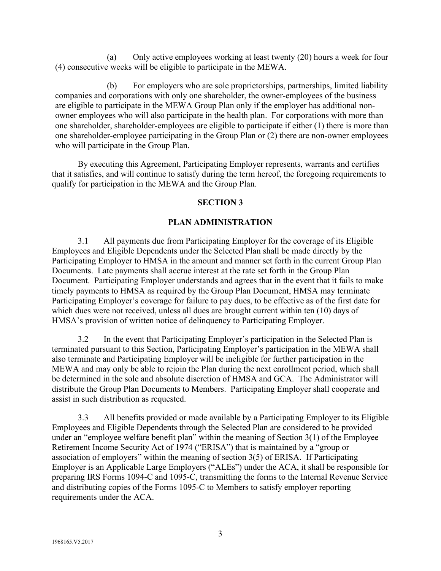(a) Only active employees working at least twenty (20) hours a week for four (4) consecutive weeks will be eligible to participate in the MEWA.

(b) For employers who are sole proprietorships, partnerships, limited liability companies and corporations with only one shareholder, the owner-employees of the business are eligible to participate in the MEWA Group Plan only if the employer has additional nonowner employees who will also participate in the health plan. For corporations with more than one shareholder, shareholder-employees are eligible to participate if either (1) there is more than one shareholder-employee participating in the Group Plan or (2) there are non-owner employees who will participate in the Group Plan.

By executing this Agreement, Participating Employer represents, warrants and certifies that it satisfies, and will continue to satisfy during the term hereof, the foregoing requirements to qualify for participation in the MEWA and the Group Plan.

### **SECTION 3**

## **PLAN ADMINISTRATION**

3.1 All payments due from Participating Employer for the coverage of its Eligible Employees and Eligible Dependents under the Selected Plan shall be made directly by the Participating Employer to HMSA in the amount and manner set forth in the current Group Plan Documents. Late payments shall accrue interest at the rate set forth in the Group Plan Document. Participating Employer understands and agrees that in the event that it fails to make timely payments to HMSA as required by the Group Plan Document, HMSA may terminate Participating Employer's coverage for failure to pay dues, to be effective as of the first date for which dues were not received, unless all dues are brought current within ten (10) days of HMSA's provision of written notice of delinquency to Participating Employer.

3.2 In the event that Participating Employer's participation in the Selected Plan is terminated pursuant to this Section, Participating Employer's participation in the MEWA shall also terminate and Participating Employer will be ineligible for further participation in the MEWA and may only be able to rejoin the Plan during the next enrollment period, which shall be determined in the sole and absolute discretion of HMSA and GCA. The Administrator will distribute the Group Plan Documents to Members. Participating Employer shall cooperate and assist in such distribution as requested.

3.3 All benefits provided or made available by a Participating Employer to its Eligible Employees and Eligible Dependents through the Selected Plan are considered to be provided under an "employee welfare benefit plan" within the meaning of Section 3(1) of the Employee Retirement Income Security Act of 1974 ("ERISA") that is maintained by a "group or association of employers" within the meaning of section 3(5) of ERISA. If Participating Employer is an Applicable Large Employers ("ALEs") under the ACA, it shall be responsible for preparing IRS Forms 1094-C and 1095-C, transmitting the forms to the Internal Revenue Service and distributing copies of the Forms 1095-C to Members to satisfy employer reporting requirements under the ACA.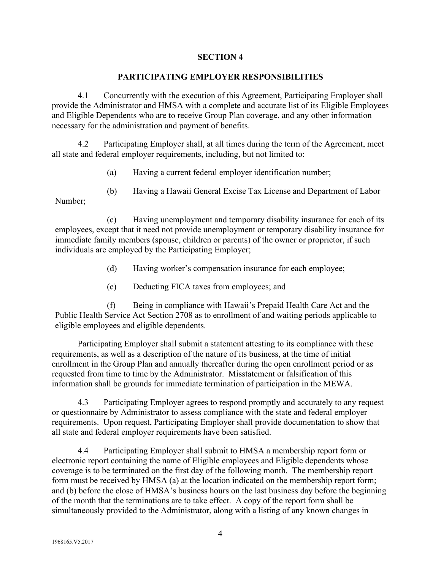### **SECTION 4**

### **PARTICIPATING EMPLOYER RESPONSIBILITIES**

4.1 Concurrently with the execution of this Agreement, Participating Employer shall provide the Administrator and HMSA with a complete and accurate list of its Eligible Employees and Eligible Dependents who are to receive Group Plan coverage, and any other information necessary for the administration and payment of benefits.

4.2 Participating Employer shall, at all times during the term of the Agreement, meet all state and federal employer requirements, including, but not limited to:

- (a) Having a current federal employer identification number;
- (b) Having a Hawaii General Excise Tax License and Department of Labor

Number;

(c) Having unemployment and temporary disability insurance for each of its employees, except that it need not provide unemployment or temporary disability insurance for immediate family members (spouse, children or parents) of the owner or proprietor, if such individuals are employed by the Participating Employer;

- (d) Having worker's compensation insurance for each employee;
- (e) Deducting FICA taxes from employees; and

(f) Being in compliance with Hawaii's Prepaid Health Care Act and the Public Health Service Act Section 2708 as to enrollment of and waiting periods applicable to eligible employees and eligible dependents.

Participating Employer shall submit a statement attesting to its compliance with these requirements, as well as a description of the nature of its business, at the time of initial enrollment in the Group Plan and annually thereafter during the open enrollment period or as requested from time to time by the Administrator. Misstatement or falsification of this information shall be grounds for immediate termination of participation in the MEWA.

4.3 Participating Employer agrees to respond promptly and accurately to any request or questionnaire by Administrator to assess compliance with the state and federal employer requirements. Upon request, Participating Employer shall provide documentation to show that all state and federal employer requirements have been satisfied.

4.4 Participating Employer shall submit to HMSA a membership report form or electronic report containing the name of Eligible employees and Eligible dependents whose coverage is to be terminated on the first day of the following month. The membership report form must be received by HMSA (a) at the location indicated on the membership report form; and (b) before the close of HMSA's business hours on the last business day before the beginning of the month that the terminations are to take effect. A copy of the report form shall be simultaneously provided to the Administrator, along with a listing of any known changes in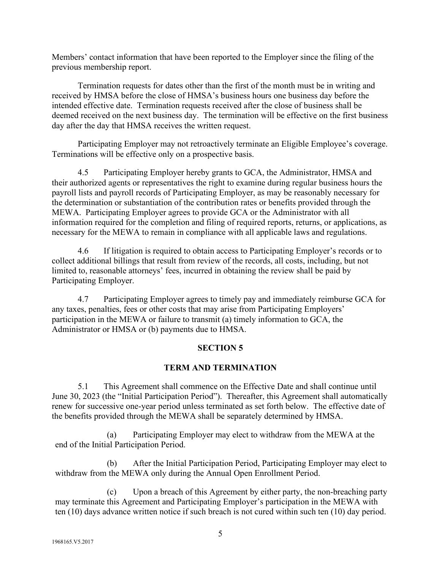Members' contact information that have been reported to the Employer since the filing of the previous membership report.

Termination requests for dates other than the first of the month must be in writing and received by HMSA before the close of HMSA's business hours one business day before the intended effective date. Termination requests received after the close of business shall be deemed received on the next business day. The termination will be effective on the first business day after the day that HMSA receives the written request.

Participating Employer may not retroactively terminate an Eligible Employee's coverage. Terminations will be effective only on a prospective basis.

4.5 Participating Employer hereby grants to GCA, the Administrator, HMSA and their authorized agents or representatives the right to examine during regular business hours the payroll lists and payroll records of Participating Employer, as may be reasonably necessary for the determination or substantiation of the contribution rates or benefits provided through the MEWA. Participating Employer agrees to provide GCA or the Administrator with all information required for the completion and filing of required reports, returns, or applications, as necessary for the MEWA to remain in compliance with all applicable laws and regulations.

4.6 If litigation is required to obtain access to Participating Employer's records or to collect additional billings that result from review of the records, all costs, including, but not limited to, reasonable attorneys' fees, incurred in obtaining the review shall be paid by Participating Employer.

4.7 Participating Employer agrees to timely pay and immediately reimburse GCA for any taxes, penalties, fees or other costs that may arise from Participating Employers' participation in the MEWA or failure to transmit (a) timely information to GCA, the Administrator or HMSA or (b) payments due to HMSA.

# **SECTION 5**

### **TERM AND TERMINATION**

5.1 This Agreement shall commence on the Effective Date and shall continue until June 30, 2023 (the "Initial Participation Period"). Thereafter, this Agreement shall automatically renew for successive one-year period unless terminated as set forth below. The effective date of the benefits provided through the MEWA shall be separately determined by HMSA.

(a) Participating Employer may elect to withdraw from the MEWA at the end of the Initial Participation Period.

(b) After the Initial Participation Period, Participating Employer may elect to withdraw from the MEWA only during the Annual Open Enrollment Period.

(c) Upon a breach of this Agreement by either party, the non-breaching party may terminate this Agreement and Participating Employer's participation in the MEWA with ten (10) days advance written notice if such breach is not cured within such ten (10) day period.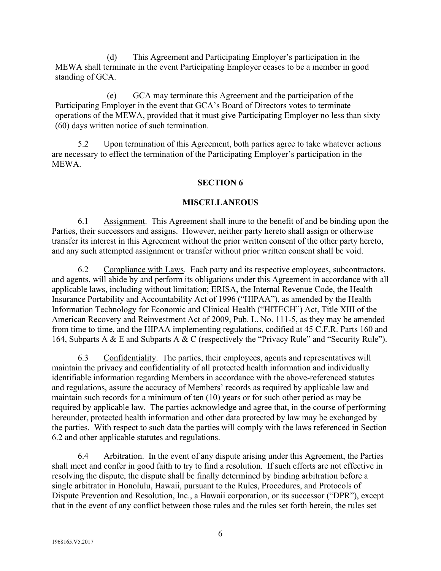(d) This Agreement and Participating Employer's participation in the MEWA shall terminate in the event Participating Employer ceases to be a member in good standing of GCA.

(e) GCA may terminate this Agreement and the participation of the Participating Employer in the event that GCA's Board of Directors votes to terminate operations of the MEWA, provided that it must give Participating Employer no less than sixty (60) days written notice of such termination.

5.2 Upon termination of this Agreement, both parties agree to take whatever actions are necessary to effect the termination of the Participating Employer's participation in the MEWA.

### **SECTION 6**

### **MISCELLANEOUS**

6.1 Assignment. This Agreement shall inure to the benefit of and be binding upon the Parties, their successors and assigns. However, neither party hereto shall assign or otherwise transfer its interest in this Agreement without the prior written consent of the other party hereto, and any such attempted assignment or transfer without prior written consent shall be void.

6.2 Compliance with Laws. Each party and its respective employees, subcontractors, and agents, will abide by and perform its obligations under this Agreement in accordance with all applicable laws, including without limitation; ERISA, the Internal Revenue Code, the Health Insurance Portability and Accountability Act of 1996 ("HIPAA"), as amended by the Health Information Technology for Economic and Clinical Health ("HITECH") Act, Title XIII of the American Recovery and Reinvestment Act of 2009, Pub. L. No. 111-5, as they may be amended from time to time, and the HIPAA implementing regulations, codified at 45 C.F.R. Parts 160 and 164, Subparts A & E and Subparts A & C (respectively the "Privacy Rule" and "Security Rule").

6.3 Confidentiality. The parties, their employees, agents and representatives will maintain the privacy and confidentiality of all protected health information and individually identifiable information regarding Members in accordance with the above-referenced statutes and regulations, assure the accuracy of Members' records as required by applicable law and maintain such records for a minimum of ten (10) years or for such other period as may be required by applicable law. The parties acknowledge and agree that, in the course of performing hereunder, protected health information and other data protected by law may be exchanged by the parties. With respect to such data the parties will comply with the laws referenced in Section 6.2 and other applicable statutes and regulations.

6.4 Arbitration. In the event of any dispute arising under this Agreement, the Parties shall meet and confer in good faith to try to find a resolution. If such efforts are not effective in resolving the dispute, the dispute shall be finally determined by binding arbitration before a single arbitrator in Honolulu, Hawaii, pursuant to the Rules, Procedures, and Protocols of Dispute Prevention and Resolution, Inc., a Hawaii corporation, or its successor ("DPR"), except that in the event of any conflict between those rules and the rules set forth herein, the rules set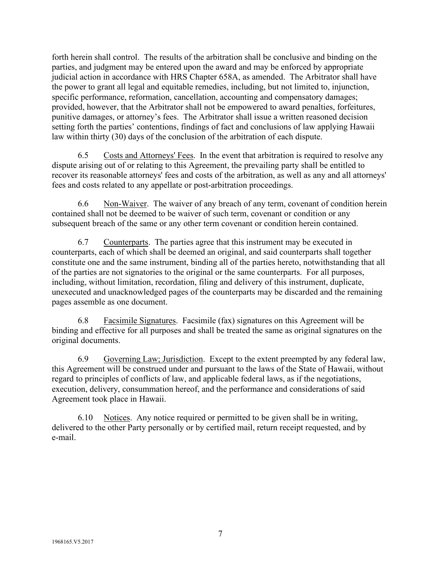forth herein shall control. The results of the arbitration shall be conclusive and binding on the parties, and judgment may be entered upon the award and may be enforced by appropriate judicial action in accordance with HRS Chapter 658A, as amended. The Arbitrator shall have the power to grant all legal and equitable remedies, including, but not limited to, injunction, specific performance, reformation, cancellation, accounting and compensatory damages; provided, however, that the Arbitrator shall not be empowered to award penalties, forfeitures, punitive damages, or attorney's fees. The Arbitrator shall issue a written reasoned decision setting forth the parties' contentions, findings of fact and conclusions of law applying Hawaii law within thirty (30) days of the conclusion of the arbitration of each dispute.

6.5 Costs and Attorneys' Fees. In the event that arbitration is required to resolve any dispute arising out of or relating to this Agreement, the prevailing party shall be entitled to recover its reasonable attorneys' fees and costs of the arbitration, as well as any and all attorneys' fees and costs related to any appellate or post-arbitration proceedings.

6.6 Non-Waiver. The waiver of any breach of any term, covenant of condition herein contained shall not be deemed to be waiver of such term, covenant or condition or any subsequent breach of the same or any other term covenant or condition herein contained.

6.7 Counterparts. The parties agree that this instrument may be executed in counterparts, each of which shall be deemed an original, and said counterparts shall together constitute one and the same instrument, binding all of the parties hereto, notwithstanding that all of the parties are not signatories to the original or the same counterparts. For all purposes, including, without limitation, recordation, filing and delivery of this instrument, duplicate, unexecuted and unacknowledged pages of the counterparts may be discarded and the remaining pages assemble as one document.

6.8 Facsimile Signatures. Facsimile (fax) signatures on this Agreement will be binding and effective for all purposes and shall be treated the same as original signatures on the original documents.

6.9 Governing Law; Jurisdiction. Except to the extent preempted by any federal law, this Agreement will be construed under and pursuant to the laws of the State of Hawaii, without regard to principles of conflicts of law, and applicable federal laws, as if the negotiations, execution, delivery, consummation hereof, and the performance and considerations of said Agreement took place in Hawaii.

6.10 Notices. Any notice required or permitted to be given shall be in writing, delivered to the other Party personally or by certified mail, return receipt requested, and by e-mail.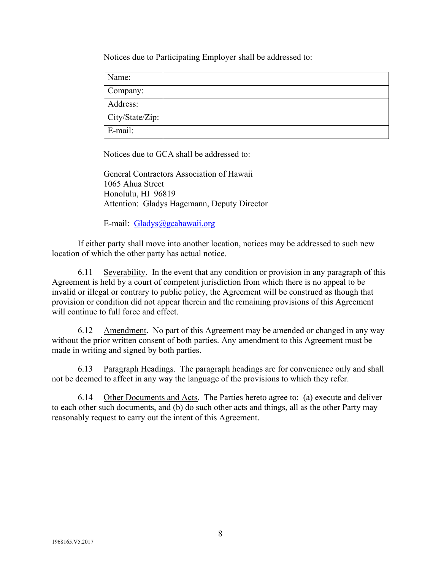Notices due to Participating Employer shall be addressed to:

| Name:           |  |
|-----------------|--|
|                 |  |
| Company:        |  |
| Address:        |  |
|                 |  |
| City/State/Zip: |  |
| E-mail:         |  |

Notices due to GCA shall be addressed to:

General Contractors Association of Hawaii 1065 Ahua Street Honolulu, HI 96819 Attention: Gladys Hagemann, Deputy Director

E-mail: [Gladys@gcahawaii.org](mailto:Gladys@gcahawaii.org)

If either party shall move into another location, notices may be addressed to such new location of which the other party has actual notice.

6.11 Severability. In the event that any condition or provision in any paragraph of this Agreement is held by a court of competent jurisdiction from which there is no appeal to be invalid or illegal or contrary to public policy, the Agreement will be construed as though that provision or condition did not appear therein and the remaining provisions of this Agreement will continue to full force and effect.

6.12 Amendment. No part of this Agreement may be amended or changed in any way without the prior written consent of both parties. Any amendment to this Agreement must be made in writing and signed by both parties.

6.13 Paragraph Headings. The paragraph headings are for convenience only and shall not be deemed to affect in any way the language of the provisions to which they refer.

6.14 Other Documents and Acts. The Parties hereto agree to: (a) execute and deliver to each other such documents, and (b) do such other acts and things, all as the other Party may reasonably request to carry out the intent of this Agreement.